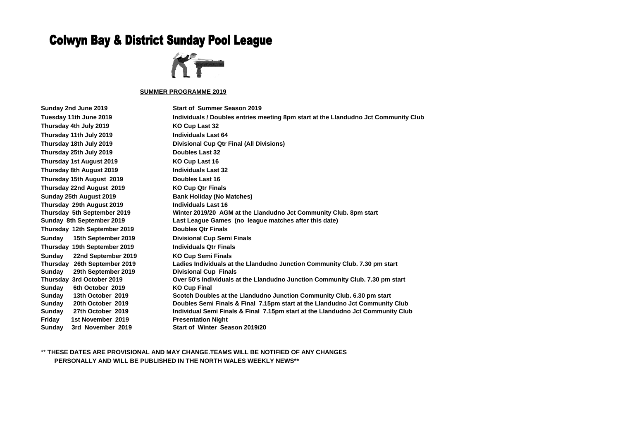## **Colwyn Bay & District Sunday Pool League**



## **SUMMER PROGRAMME 2019**

**Tuesday 11th June 2019 Individuals / Doubles entries meeting 8pm start at the Llandudno Jct Community Club Thursday 18th July 2019 Divisional Cup Qtr Final (All Divisions) Thursday 5th September 2019 Winter 2019/20 AGM at the Llandudno Jct Community Club. 8pm start Sunday 8th September 2019 Last League Games (no league matches after this date) Thursday 26th September 2019 Ladies Individuals at the Llandudno Junction Community Club. 7.30 pm start Thursday 3rd October 2019 Over 50's Individuals at the Llandudno Junction Community Club. 7.30 pm start Sunday 13th October 2019 Scotch Doubles at the Llandudno Junction Community Club. 6.30 pm start Sunday 20th October 2019 Doubles Semi Finals & Final 7.15pm start at the Llandudno Jct Community Club Sunday 27th October 2019 Individual Semi Finals & Final 7.15pm start at the Llandudno Jct Community Club**

**Sunday 2nd June 2019 Start of Summer Season 2019 Thursday 4th July 2019 KO Cup Last 32 Thursday 11th July 2019 Individuals Last 64 Thursday 25th July 2019 Doubles Last 32 Thursday 1st August 2019 KO Cup Last 16 Thursday 8th August 2019 Individuals Last 32 Thursday 15th August 2019 Doubles Last 16 Thursday 22nd August 2019 KO Cup Qtr Finals Sunday 25th August 2019 Bank Holiday (No Matches) Thursday 29th August 2019 Individuals Last 16 Thursday 12th September 2019 Doubles Qtr Finals Sunday 15th September 2019 Divisional Cup Semi Finals Thursday 19th September 2019 Individuals Qtr Finals Sunday 22nd September 2019 KO Cup Semi Finals Sunday 29th September 2019 Divisional Cup Finals Sunday 6th October 2019 KO Cup Final Friday 1st November 2019 Presentation Night Sunday 3rd November 2019 Start of Winter Season 2019/20**

\*\* **THESE DATES ARE PROVISIONAL AND MAY CHANGE.TEAMS WILL BE NOTIFIED OF ANY CHANGES PERSONALLY AND WILL BE PUBLISHED IN THE NORTH WALES WEEKLY NEWS\*\***